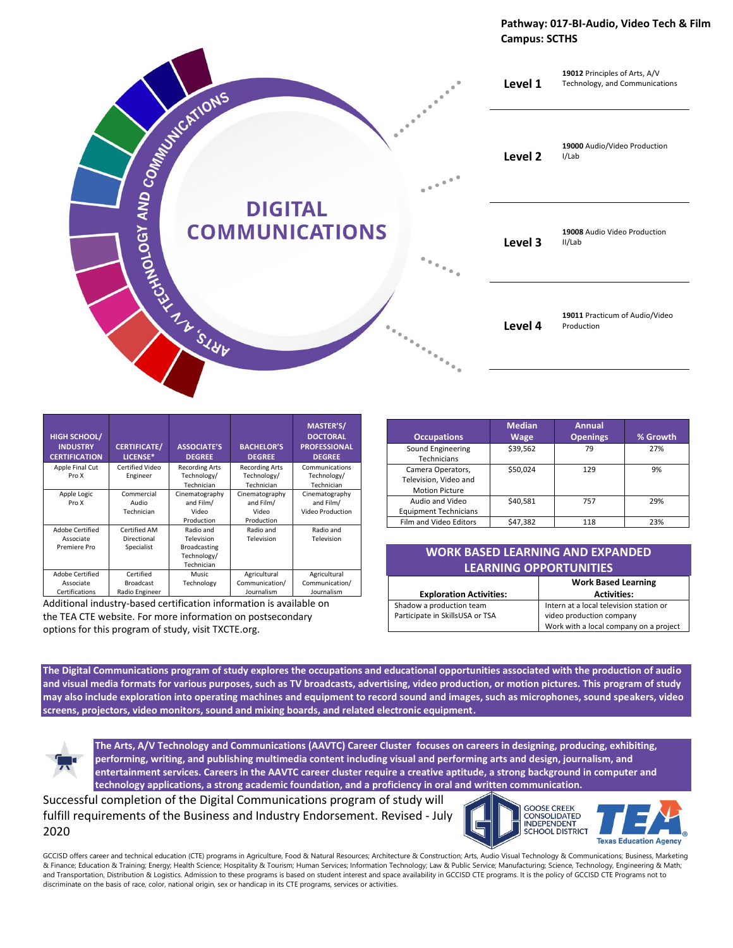#### **Pathway: 017-BI-Audio, Video Tech & Film Campus: SCTHS**



| <b>HIGH SCHOOL/</b><br><b>INDUSTRY</b><br><b>CERTIFICATION</b> | <b>CERTIFICATE/</b><br>LICENSE*                 | <b>ASSOCIATE'S</b><br><b>DEGREE</b>                                         | <b>BACHELOR'S</b><br><b>DEGREE</b>                 | <b>MASTER'S/</b><br><b>DOCTORAL</b><br><b>PROFESSIONAL</b><br><b>DEGREE</b> |
|----------------------------------------------------------------|-------------------------------------------------|-----------------------------------------------------------------------------|----------------------------------------------------|-----------------------------------------------------------------------------|
| Apple Final Cut<br>Pro X                                       | <b>Certified Video</b><br>Engineer              | <b>Recording Arts</b><br>Technology/<br>Technician                          | <b>Recording Arts</b><br>Technology/<br>Technician | Communications<br>Technology/<br>Technician                                 |
| Apple Logic<br>Pro X                                           | Commercial<br>Audio<br>Technician               | Cinematography<br>and Film/<br>Video<br>Production                          | Cinematography<br>and Film/<br>Video<br>Production | Cinematography<br>and Film/<br>Video Production                             |
| <b>Adobe Certified</b><br>Associate<br>Premiere Pro            | Certified AM<br>Directional<br>Specialist       | Radio and<br>Television<br><b>Broadcasting</b><br>Technology/<br>Technician | Radio and<br>Television                            | Radio and<br>Television                                                     |
| <b>Adobe Certified</b><br>Associate<br>Certifications          | Certified<br><b>Broadcast</b><br>Radio Engineer | <b>Music</b><br>Technology                                                  | Agricultural<br>Communication/<br>Journalism       | Agricultural<br>Communication/<br>Journalism                                |

Additional industry-based certification information is available on the TEA CTE website. For more information on postsecondary options for this program of study, visit TXCTE.org.

| <b>Occupations</b>                                                  | <b>Median</b><br><b>Wage</b> | <b>Annual</b><br><b>Openings</b> | % Growth |
|---------------------------------------------------------------------|------------------------------|----------------------------------|----------|
| Sound Engineering<br>Technicians                                    | \$39,562                     | 79                               | 27%      |
| Camera Operators,<br>Television, Video and<br><b>Motion Picture</b> | \$50.024                     | 129                              | 9%       |
| Audio and Video<br><b>Equipment Technicians</b>                     | \$40.581                     | 757                              | 29%      |
| Film and Video Editors                                              | \$47,382                     | 118                              | 23%      |

### **WORK BASED LEARNING AND EXPANDED LEARNING OPPORTUNITIES**

|                                 | <b>Work Based Learning</b>              |  |
|---------------------------------|-----------------------------------------|--|
| <b>Exploration Activities:</b>  | <b>Activities:</b>                      |  |
| Shadow a production team        | Intern at a local television station or |  |
| Participate in SkillsUSA or TSA | video production company                |  |
|                                 | Work with a local company on a project  |  |

**The Digital Communications program of study explores the occupations and educational opportunities associated with the production of audio and visual media formats for various purposes, such as TV broadcasts, advertising, video production, or motion pictures. This program of study may also include exploration into operating machines and equipment to record sound and images, such as microphones, sound speakers, video screens, projectors, video monitors, sound and mixing boards, and related electronic equipment.**

**The Arts, A/V Technology and Communications (AAVTC) Career Cluster focuses on careers in designing, producing, exhibiting, performing, writing, and publishing multimedia content including visual and performing arts and design, journalism, and entertainment services. Careers in the AAVTC career cluster require a creative aptitude, a strong background in computer and technology applications, a strong academic foundation, and a proficiency in oral and written communication.**

Successful completion of the Digital Communications program of study will fulfill requirements of the Business and Industry Endorsement. Revised - July 2020



GCCISD offers career and technical education (CTE) programs in Agriculture, Food & Natural Resources; Architecture & Construction; Arts, Audio Visual Technology & Communications; Business, Marketing & Finance; Education & Training; Energy; Health Science; Hospitality & Tourism; Human Services; Information Technology; Law & Public Service; Manufacturing; Science, Technology, Engineering & Math; and Transportation, Distribution & Logistics. Admission to these programs is based on student interest and space availability in GCCISD CTE programs. It is the policy of GCCISD CTE Programs not to discriminate on the basis of race, color, national origin, sex or handicap in its CTE programs, services or activities.